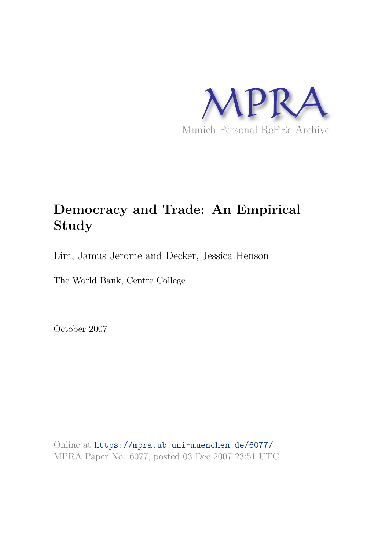

# **Democracy and Trade: An Empirical Study**

Lim, Jamus Jerome and Decker, Jessica Henson

The World Bank, Centre College

October 2007

Online at https://mpra.ub.uni-muenchen.de/6077/ MPRA Paper No. 6077, posted 03 Dec 2007 23:51 UTC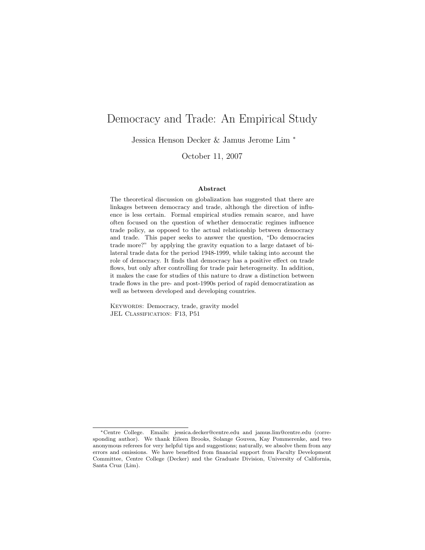## Democracy and Trade: An Empirical Study

Jessica Henson Decker & Jamus Jerome Lim <sup>∗</sup>

October 11, 2007

#### Abstract

The theoretical discussion on globalization has suggested that there are linkages between democracy and trade, although the direction of influence is less certain. Formal empirical studies remain scarce, and have often focused on the question of whether democratic regimes influence trade policy, as opposed to the actual relationship between democracy and trade. This paper seeks to answer the question, "Do democracies trade more?" by applying the gravity equation to a large dataset of bilateral trade data for the period 1948-1999, while taking into account the role of democracy. It finds that democracy has a positive effect on trade flows, but only after controlling for trade pair heterogeneity. In addition, it makes the case for studies of this nature to draw a distinction between trade flows in the pre- and post-1990s period of rapid democratization as well as between developed and developing countries.

KEYWORDS: Democracy, trade, gravity model JEL CLASSIFICATION: F13, P51

<sup>∗</sup>Centre College. Emails: jessica.decker@centre.edu and jamus.lim@centre.edu (corresponding author). We thank Eileen Brooks, Solange Gouvea, Kay Pommerenke, and two anonymous referees for very helpful tips and suggestions; naturally, we absolve them from any errors and omissions. We have benefited from financial support from Faculty Development Committee, Centre College (Decker) and the Graduate Division, University of California, Santa Cruz (Lim).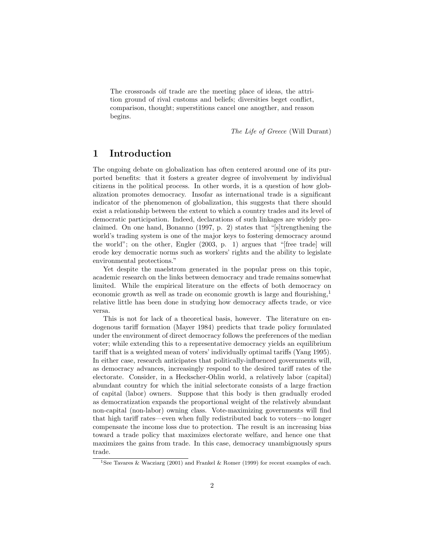The crossroads oif trade are the meeting place of ideas, the attrition ground of rival customs and beliefs; diversities beget conflict, comparison, thought; superstitions cancel one anogther, and reason begins.

The Life of Greece (Will Durant)

#### 1 Introduction

The ongoing debate on globalization has often centered around one of its purported benefits: that it fosters a greater degree of involvement by individual citizens in the political process. In other words, it is a question of how globalization promotes democracy. Insofar as international trade is a significant indicator of the phenomenon of globalization, this suggests that there should exist a relationship between the extent to which a country trades and its level of democratic participation. Indeed, declarations of such linkages are widely proclaimed. On one hand, Bonanno (1997, p. 2) states that "[s]trengthening the world's trading system is one of the major keys to fostering democracy around the world"; on the other, Engler (2003, p. 1) argues that "[free trade] will erode key democratic norms such as workers' rights and the ability to legislate environmental protections."

Yet despite the maelstrom generated in the popular press on this topic, academic research on the links between democracy and trade remains somewhat limited. While the empirical literature on the effects of both democracy on economic growth as well as trade on economic growth is large and flourishing, $\frac{1}{2}$ relative little has been done in studying how democracy affects trade, or vice versa.

This is not for lack of a theoretical basis, however. The literature on endogenous tariff formation (Mayer 1984) predicts that trade policy formulated under the environment of direct democracy follows the preferences of the median voter; while extending this to a representative democracy yields an equilibrium tariff that is a weighted mean of voters' individually optimal tariffs (Yang 1995). In either case, research anticipates that politically-influenced governments will, as democracy advances, increasingly respond to the desired tariff rates of the electorate. Consider, in a Heckscher-Ohlin world, a relatively labor (capital) abundant country for which the initial selectorate consists of a large fraction of capital (labor) owners. Suppose that this body is then gradually eroded as democratization expands the proportional weight of the relatively abundant non-capital (non-labor) owning class. Vote-maximizing governments will find that high tariff rates—even when fully redistributed back to voters—no longer compensate the income loss due to protection. The result is an increasing bias toward a trade policy that maximizes electorate welfare, and hence one that maximizes the gains from trade. In this case, democracy unambiguously spurs trade.

<sup>1</sup>See Tavares & Wacziarg (2001) and Frankel & Romer (1999) for recent examples of each.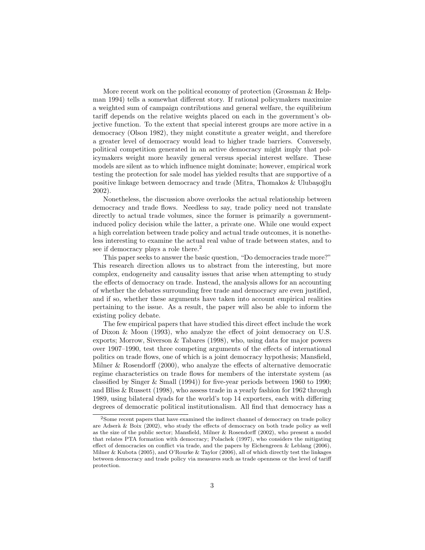More recent work on the political economy of protection (Grossman & Helpman 1994) tells a somewhat different story. If rational policymakers maximize a weighted sum of campaign contributions and general welfare, the equilibrium tariff depends on the relative weights placed on each in the government's objective function. To the extent that special interest groups are more active in a democracy (Olson 1982), they might constitute a greater weight, and therefore a greater level of democracy would lead to higher trade barriers. Conversely, political competition generated in an active democracy might imply that policymakers weight more heavily general versus special interest welfare. These models are silent as to which influence might dominate; however, empirical work testing the protection for sale model has yielded results that are supportive of a positive linkage between democracy and trade (Mitra, Thomakos & Ulubaşoğlu 2002).

Nonetheless, the discussion above overlooks the actual relationship between democracy and trade flows. Needless to say, trade policy need not translate directly to actual trade volumes, since the former is primarily a governmentinduced policy decision while the latter, a private one. While one would expect a high correlation between trade policy and actual trade outcomes, it is nonetheless interesting to examine the actual real value of trade between states, and to see if democracy plays a role there.<sup>2</sup>

This paper seeks to answer the basic question, "Do democracies trade more?" This research direction allows us to abstract from the interesting, but more complex, endogeneity and causality issues that arise when attempting to study the effects of democracy on trade. Instead, the analysis allows for an accounting of whether the debates surrounding free trade and democracy are even justified, and if so, whether these arguments have taken into account empirical realities pertaining to the issue. As a result, the paper will also be able to inform the existing policy debate.

The few empirical papers that have studied this direct effect include the work of Dixon & Moon (1993), who analyze the effect of joint democracy on U.S. exports; Morrow, Siverson & Tabares (1998), who, using data for major powers over 1907–1990, test three competing arguments of the effects of international politics on trade flows, one of which is a joint democracy hypothesis; Mansfield, Milner & Rosendorff (2000), who analyze the effects of alternative democratic regime characteristics on trade flows for members of the interstate system (as classified by Singer & Small (1994)) for five-year periods between 1960 to 1990; and Bliss & Russett (1998), who assess trade in a yearly fashion for 1962 through 1989, using bilateral dyads for the world's top 14 exporters, each with differing degrees of democratic political institutionalism. All find that democracy has a

<sup>2</sup>Some recent papers that have examined the indirect channel of democracy on trade policy are Adserà  $\&$  Boix (2002), who study the effects of democracy on both trade policy as well as the size of the public sector; Mansfield, Milner & Rosendorff (2002), who present a model that relates PTA formation with democracy; Polachek (1997), who considers the mitigating effect of democracies on conflict via trade, and the papers by Eichengreen & Leblang (2006), Milner & Kubota (2005), and O'Rourke & Taylor (2006), all of which directly test the linkages between democracy and trade policy via measures such as trade openness or the level of tariff protection.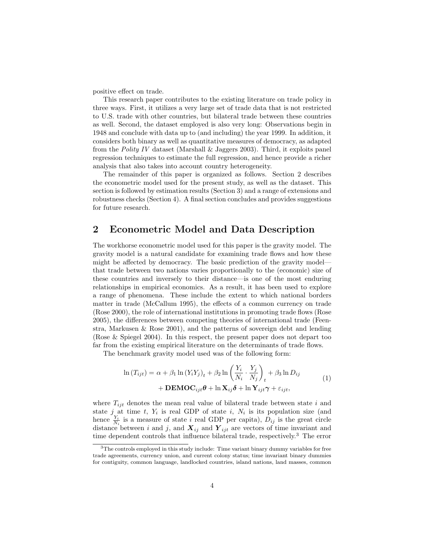positive effect on trade.

This research paper contributes to the existing literature on trade policy in three ways. First, it utilizes a very large set of trade data that is not restricted to U.S. trade with other countries, but bilateral trade between these countries as well. Second, the dataset employed is also very long: Observations begin in 1948 and conclude with data up to (and including) the year 1999. In addition, it considers both binary as well as quantitative measures of democracy, as adapted from the Polity IV dataset (Marshall & Jaggers 2003). Third, it exploits panel regression techniques to estimate the full regression, and hence provide a richer analysis that also takes into account country heterogeneity.

The remainder of this paper is organized as follows. Section 2 describes the econometric model used for the present study, as well as the dataset. This section is followed by estimation results (Section 3) and a range of extensions and robustness checks (Section 4). A final section concludes and provides suggestions for future research.

#### 2 Econometric Model and Data Description

The workhorse econometric model used for this paper is the gravity model. The gravity model is a natural candidate for examining trade flows and how these might be affected by democracy. The basic prediction of the gravity model that trade between two nations varies proportionally to the (economic) size of these countries and inversely to their distance—is one of the most enduring relationships in empirical economics. As a result, it has been used to explore a range of phenomena. These include the extent to which national borders matter in trade (McCallum 1995), the effects of a common currency on trade (Rose 2000), the role of international institutions in promoting trade flows (Rose 2005), the differences between competing theories of international trade (Feenstra, Markusen & Rose 2001), and the patterns of sovereign debt and lending (Rose & Spiegel 2004). In this respect, the present paper does not depart too far from the existing empirical literature on the determinants of trade flows.

The benchmark gravity model used was of the following form:

$$
\ln (T_{ijt}) = \alpha + \beta_1 \ln (Y_i Y_j)_t + \beta_2 \ln \left( \frac{Y_i}{N_i} \cdot \frac{Y_j}{N_j} \right)_t + \beta_3 \ln D_{ij}
$$
  
+ **DEMOC**<sub>ijt</sub> $\theta$  +  $\ln \mathbf{X}_{ij} \delta$  +  $\ln \mathbf{Y}_{ijt} \gamma$  +  $\varepsilon_{ijt}$ , (1)

where  $T_{ijt}$  denotes the mean real value of bilateral trade between state i and state j at time t,  $Y_i$  is real GDP of state i,  $N_i$  is its population size (and hence  $\frac{Y_i}{N_i}$  is a measure of state i real GDP per capita),  $D_{ij}$  is the great circle distance between i and j, and  $\boldsymbol{X}_{ij}$  and  $\boldsymbol{Y}_{ijt}$  are vectors of time invariant and time dependent controls that influence bilateral trade, respectively.<sup>3</sup> The error

<sup>&</sup>lt;sup>3</sup>The controls employed in this study include: Time variant binary dummy variables for free trade agreements, currency union, and current colony status; time invariant binary dummies for contiguity, common language, landlocked countries, island nations, land masses, common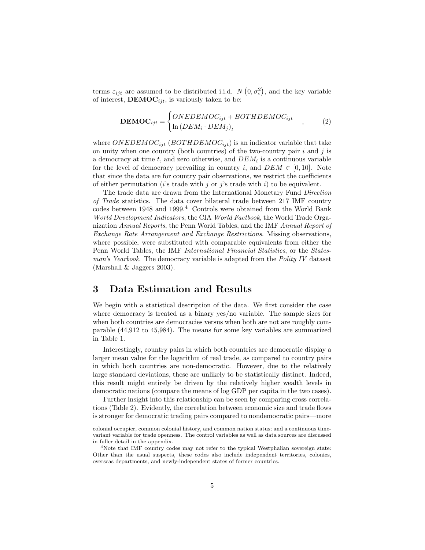terms  $\varepsilon_{ijt}$  are assumed to be distributed i.i.d.  $N(0, \sigma_{\varepsilon}^2)$ , and the key variable of interest,  $\text{DEMOC}_{ijt}$ , is variously taken to be:

$$
\mathbf{DEMOC}_{ijt} = \begin{cases} ONEDEMOC_{ijt} + BOTHDEMOC_{ijt} \\ \ln(DEM_i \cdot DEM_j)_t \end{cases}, \tag{2}
$$

where ONEDEMOC<sub>ijt</sub> (BOTHDEMOC<sub>ijt</sub>) is an indicator variable that take on unity when one country (both countries) of the two-country pair  $i$  and  $j$  is a democracy at time  $t$ , and zero otherwise, and  $DEM_i$  is a continuous variable for the level of democracy prevailing in country i, and  $DEM \in [0, 10]$ . Note that since the data are for country pair observations, we restrict the coefficients of either permutation (*i*'s trade with *j* or *j*'s trade with *i*) to be equivalent.

The trade data are drawn from the International Monetary Fund Direction of Trade statistics. The data cover bilateral trade between 217 IMF country codes between  $1948$  and  $1999.<sup>4</sup>$  Controls were obtained from the World Bank World Development Indicators, the CIA World Factbook, the World Trade Organization Annual Reports, the Penn World Tables, and the IMF Annual Report of Exchange Rate Arrangement and Exchange Restrictions. Missing observations, where possible, were substituted with comparable equivalents from either the Penn World Tables, the IMF International Financial Statistics, or the Statesman's Yearbook. The democracy variable is adapted from the Polity IV dataset (Marshall & Jaggers 2003).

#### 3 Data Estimation and Results

We begin with a statistical description of the data. We first consider the case where democracy is treated as a binary yes/no variable. The sample sizes for when both countries are democracies versus when both are not are roughly comparable (44,912 to 45,984). The means for some key variables are summarized in Table 1.

Interestingly, country pairs in which both countries are democratic display a larger mean value for the logarithm of real trade, as compared to country pairs in which both countries are non-democratic. However, due to the relatively large standard deviations, these are unlikely to be statistically distinct. Indeed, this result might entirely be driven by the relatively higher wealth levels in democratic nations (compare the means of log GDP per capita in the two cases).

Further insight into this relationship can be seen by comparing cross correlations (Table 2). Evidently, the correlation between economic size and trade flows is stronger for democratic trading pairs compared to nondemocratic pairs—more

colonial occupier, common colonial history, and common nation status; and a continuous timevariant variable for trade openness. The control variables as well as data sources are discussed in fuller detail in the appendix.

<sup>&</sup>lt;sup>4</sup>Note that IMF country codes may not refer to the typical Westphalian sovereign state: Other than the usual suspects, these codes also include independent territories, colonies, overseas departments, and newly-independent states of former countries.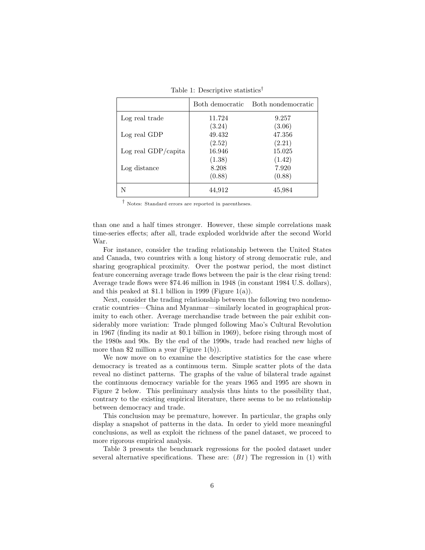|                     | Both democratic  | Both nondemocratic |
|---------------------|------------------|--------------------|
| Log real trade      | 11.724           | 9.257              |
|                     | (3.24)           | (3.06)             |
| Log real GDP        | 49.432<br>(2.52) | 47.356<br>(2.21)   |
| Log real GDP/capita | 16.946           | 15.025             |
|                     | (1.38)           | (1.42)             |
| Log distance        | 8.208            | 7.920              |
|                     | (0.88)           | (0.88)             |
|                     | 44,912           | 45,984             |

Table 1: Descriptive statistics†

† Notes: Standard errors are reported in parentheses.

than one and a half times stronger. However, these simple correlations mask time-series effects; after all, trade exploded worldwide after the second World War.

For instance, consider the trading relationship between the United States and Canada, two countries with a long history of strong democratic rule, and sharing geographical proximity. Over the postwar period, the most distinct feature concerning average trade flows between the pair is the clear rising trend: Average trade flows were \$74.46 million in 1948 (in constant 1984 U.S. dollars), and this peaked at \$1.1 billion in 1999 (Figure 1(a)).

Next, consider the trading relationship between the following two nondemocratic countries—China and Myanmar—similarly located in geographical proximity to each other. Average merchandise trade between the pair exhibit considerably more variation: Trade plunged following Mao's Cultural Revolution in 1967 (finding its nadir at \$0.1 billion in 1969), before rising through most of the 1980s and 90s. By the end of the 1990s, trade had reached new highs of more than \$2 million a year (Figure 1(b)).

We now move on to examine the descriptive statistics for the case where democracy is treated as a continuous term. Simple scatter plots of the data reveal no distinct patterns. The graphs of the value of bilateral trade against the continuous democracy variable for the years 1965 and 1995 are shown in Figure 2 below. This preliminary analysis thus hints to the possibility that, contrary to the existing empirical literature, there seems to be no relationship between democracy and trade.

This conclusion may be premature, however. In particular, the graphs only display a snapshot of patterns in the data. In order to yield more meaningful conclusions, as well as exploit the richness of the panel dataset, we proceed to more rigorous empirical analysis.

Table 3 presents the benchmark regressions for the pooled dataset under several alternative specifications. These are:  $(B1)$  The regression in (1) with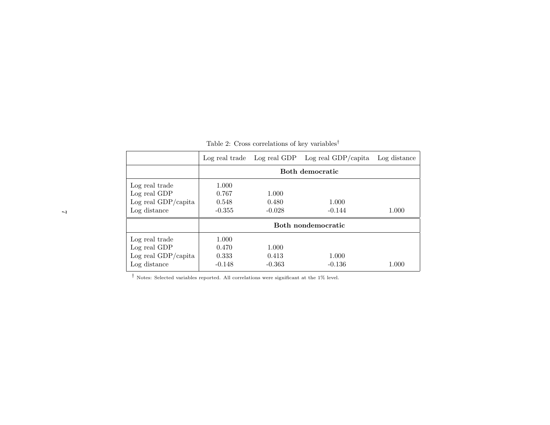|                                                                       | Log real trade                      |                            | Log real GDP Log real GDP/capita | Log distance |  |
|-----------------------------------------------------------------------|-------------------------------------|----------------------------|----------------------------------|--------------|--|
|                                                                       | Both democratic                     |                            |                                  |              |  |
| Log real trade<br>Log real GDP<br>Log real GDP/capita<br>Log distance | 1.000<br>0.767<br>0.548<br>$-0.355$ | 1.000<br>0.480<br>$-0.028$ | 1.000<br>$-0.144$                | 1.000        |  |
|                                                                       |                                     |                            | Both nondemocratic               |              |  |
| Log real trade<br>Log real GDP<br>Log real GDP/capita<br>Log distance | 1.000<br>0.470<br>0.333<br>$-0.148$ | 1.000<br>0.413<br>$-0.363$ | 1.000<br>$-0.136$                | 1.000        |  |

Table 2: Cross correlations of key variables<sup>†</sup>

† Notes: Selected variables reported. All correlations were significant at the 1% level.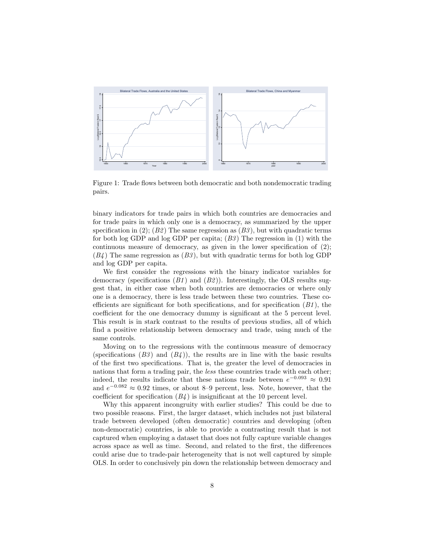

Figure 1: Trade flows between both democratic and both nondemocratic trading pairs.

binary indicators for trade pairs in which both countries are democracies and for trade pairs in which only one is a democracy, as summarized by the upper specification in (2); ( $B2$ ) The same regression as  $(B3)$ , but with quadratic terms for both log GDP and log GDP per capita;  $(B3)$  The regression in (1) with the continuous measure of democracy, as given in the lower specification of (2);  $(B4)$  The same regression as  $(B3)$ , but with quadratic terms for both log GDP and log GDP per capita.

We first consider the regressions with the binary indicator variables for democracy (specifications  $(B1)$  and  $(B2)$ ). Interestingly, the OLS results suggest that, in either case when both countries are democracies or where only one is a democracy, there is less trade between these two countries. These coefficients are significant for both specifications, and for specification  $(B1)$ , the coefficient for the one democracy dummy is significant at the 5 percent level. This result is in stark contrast to the results of previous studies, all of which find a positive relationship between democracy and trade, using much of the same controls.

Moving on to the regressions with the continuous measure of democracy (specifications  $(B3)$  and  $(B4)$ ), the results are in line with the basic results of the first two specifications. That is, the greater the level of democracies in nations that form a trading pair, the less these countries trade with each other; indeed, the results indicate that these nations trade between  $e^{-0.093} \approx 0.91$ and  $e^{-0.082} \approx 0.92$  times, or about 8–9 percent, less. Note, however, that the coefficient for specification  $(B_4)$  is insignificant at the 10 percent level.

Why this apparent incongruity with earlier studies? This could be due to two possible reasons. First, the larger dataset, which includes not just bilateral trade between developed (often democratic) countries and developing (often non-democratic) countries, is able to provide a contrasting result that is not captured when employing a dataset that does not fully capture variable changes across space as well as time. Second, and related to the first, the differences could arise due to trade-pair heterogeneity that is not well captured by simple OLS. In order to conclusively pin down the relationship between democracy and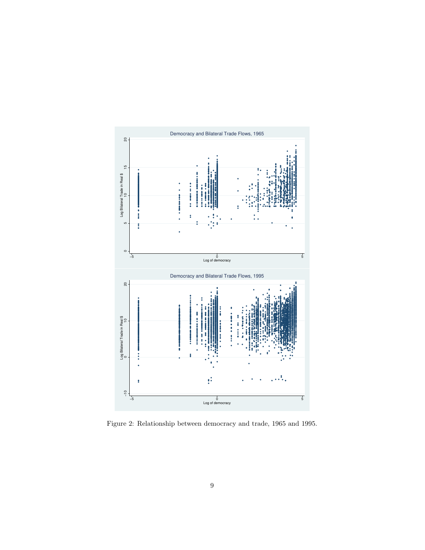

Figure 2: Relationship between democracy and trade, 1965 and 1995.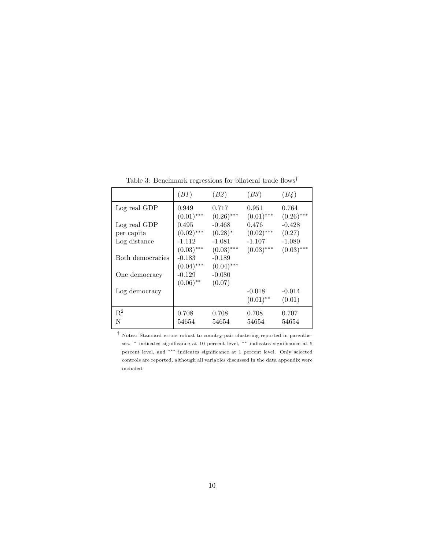|                            | (B1)                     | (B2)                     | (B3)                     | (B4)                     |
|----------------------------|--------------------------|--------------------------|--------------------------|--------------------------|
| Log real GDP               | 0.949                    | 0.717                    | 0.951                    | 0.764                    |
| Log real GDP               | $(0.01)$ ***<br>0.495    | $(0.26)$ ***<br>$-0.468$ | $(0.01)$ ***<br>0.476    | $(0.26)$ ***<br>$-0.428$ |
| per capita<br>Log distance | $(0.02)$ ***<br>$-1.112$ | $(0.28)^*$<br>$-1.081$   | $(0.02)$ ***<br>$-1.107$ | (0.27)<br>$-1.080$       |
| Both democracies           | $(0.03)$ ***<br>-0.183   | $(0.03)$ ***<br>$-0.189$ | $(0.03)$ ***             | $(0.03)$ ***             |
| One democracy              | $(0.04)$ ***<br>-0.129   | $(0.04)$ ***<br>$-0.080$ |                          |                          |
|                            | $(0.06)$ **              | (0.07)                   |                          |                          |
| Log democracy              |                          |                          | $-0.018$<br>$(0.01)$ **  | $-0.014$<br>(0.01)       |
| $\mathbf{R}^2$             | 0.708                    | 0.708                    | 0.708                    | 0.707                    |
| N                          | 54654                    | 54654                    | 54654                    | 54654                    |

Table 3: Benchmark regressions for bilateral trade flows<sup>†</sup>

 $^\dagger$  Notes: Standard errors robust to country-pair clustering reported in parentheses. <sup>\*</sup> indicates significance at 10 percent level, <sup>\*\*</sup> indicates significance at 5 percent level, and ∗∗∗ indicates significance at 1 percent level. Only selected controls are reported, although all variables discussed in the data appendix were included.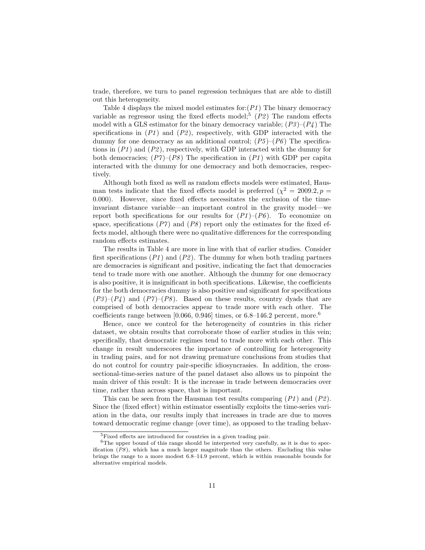trade, therefore, we turn to panel regression techniques that are able to distill out this heterogeneity.

Table 4 displays the mixed model estimates for: $(PI)$  The binary democracy variable as regressor using the fixed effects model;<sup>5</sup>  $(P2)$  The random effects model with a GLS estimator for the binary democracy variable;  $(P3)$ – $(P4)$  The specifications in  $(P1)$  and  $(P2)$ , respectively, with GDP interacted with the dummy for one democracy as an additional control;  $(P5)-(P6)$  The specifications in  $(P1)$  and  $(P2)$ , respectively, with GDP interacted with the dummy for both democracies;  $(P7)$ – $(P8)$  The specification in  $(P1)$  with GDP per capita interacted with the dummy for one democracy and both democracies, respectively.

Although both fixed as well as random effects models were estimated, Hausman tests indicate that the fixed effects model is preferred  $(\chi^2 = 2009.2, p =$ 0.000). However, since fixed effects necessitates the exclusion of the timeinvariant distance variable—an important control in the gravity model—we report both specifications for our results for  $(P1)$ – $(P6)$ . To economize on space, specifications  $(P7)$  and  $(P8)$  report only the estimates for the fixed effects model, although there were no qualitative differences for the corresponding random effects estimates.

The results in Table 4 are more in line with that of earlier studies. Consider first specifications  $(P1)$  and  $(P2)$ . The dummy for when both trading partners are democracies is significant and positive, indicating the fact that democracies tend to trade more with one another. Although the dummy for one democracy is also positive, it is insignificant in both specifications. Likewise, the coefficients for the both democracies dummy is also positive and significant for specifications  $(P3)$ – $(P4)$  and  $(P7)$ – $(P8)$ . Based on these results, country dyads that are comprised of both democracies appear to trade more with each other. The coefficients range between  $[0.066, 0.946]$  times, or 6.8–146.2 percent, more.<sup>6</sup>

Hence, once we control for the heterogeneity of countries in this richer dataset, we obtain results that corroborate those of earlier studies in this vein; specifically, that democratic regimes tend to trade more with each other. This change in result underscores the importance of controlling for heterogeneity in trading pairs, and for not drawing premature conclusions from studies that do not control for country pair-specific idiosyncrasies. In addition, the crosssectional-time-series nature of the panel dataset also allows us to pinpoint the main driver of this result: It is the increase in trade between democracies over time, rather than across space, that is important.

This can be seen from the Hausman test results comparing  $(PI)$  and  $(P2)$ . Since the (fixed effect) within estimator essentially exploits the time-series variation in the data, our results imply that increases in trade are due to moves toward democratic regime change (over time), as opposed to the trading behav-

<sup>5</sup>Fixed effects are introduced for countries in a given trading pair.

<sup>&</sup>lt;sup>6</sup>The upper bound of this range should be interpreted very carefully, as it is due to specification  $(P8)$ , which has a much larger magnitude than the others. Excluding this value brings the range to a more modest 6.8–14.9 percent, which is within reasonable bounds for alternative empirical models.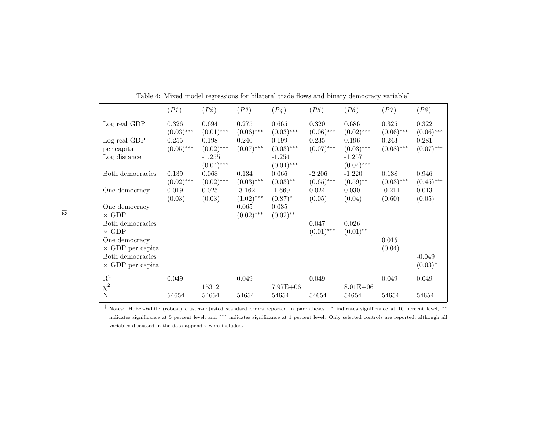|                                                  | (PI)                  | (P2)                              | (P3)                     | (P4)                              | (P5)                  | (P6)                                 | ( P 7 )                  | (P8)                   |
|--------------------------------------------------|-----------------------|-----------------------------------|--------------------------|-----------------------------------|-----------------------|--------------------------------------|--------------------------|------------------------|
| Log real GDP                                     | 0.326<br>$(0.03)$ *** | 0.694<br>$(0.01)$ ***             | 0.275<br>$(0.06)$ ***    | 0.665<br>$(0.03)$ ***             | 0.320<br>$(0.06)$ *** | 0.686<br>$(0.02)$ ***                | 0.325<br>$(0.06)$ ***    | 0.322<br>$(0.06)$ ***  |
| Log real GDP<br>per capita                       | 0.255<br>$(0.05)$ *** | 0.198<br>$(0.02)$ ***<br>$-1.255$ | 0.246<br>$(0.07)$ ***    | 0.199<br>$(0.03)$ ***<br>$-1.254$ | 0.235<br>$(0.07)$ *** | 0.196<br>$(0.03)$ ***                | 0.243<br>$(0.08)$ ***    | 0.281<br>$(0.07)$ ***  |
| Log distance<br>Both democracies                 | 0.139                 | $(0.04)$ ***<br>0.068             | 0.134                    | $(0.04)$ ***<br>0.066             | $-2.206$              | $-1.257$<br>$(0.04)$ ***<br>$-1.220$ | 0.138                    | 0.946                  |
| One democracy                                    | $(0.02)$ ***<br>0.019 | $(0.02)$ ***<br>0.025             | $(0.03)$ ***<br>$-3.162$ | $(0.03)$ **<br>$-1.669$           | $(0.65)$ ***<br>0.024 | $(0.59)$ **<br>0.030                 | $(0.03)$ ***<br>$-0.211$ | $(0.45)$ ***<br>0.013  |
| One democracy                                    | (0.03)                | (0.03)                            | $(1.02)$ ***<br>0.065    | $(0.87)^*$<br>0.035               | (0.05)                | (0.04)                               | (0.60)                   | (0.05)                 |
| $\times$ GDP<br>Both democracies<br>$\times$ GDP |                       |                                   | $(0.02)$ ***             | $(0.02)$ **                       | 0.047<br>$(0.01)$ *** | 0.026<br>$(0.01)$ **                 |                          |                        |
| One democracy<br>$\times$ GDP per capita         |                       |                                   |                          |                                   |                       |                                      | 0.015<br>(0.04)          |                        |
| Both democracies<br>$\times$ GDP per capita      |                       |                                   |                          |                                   |                       |                                      |                          | $-0.049$<br>$(0.03)^*$ |
| $\mathbf{R}^2$                                   | 0.049                 | 15312                             | 0.049                    | $7.97E + 06$                      | 0.049                 | $8.01E + 06$                         | 0.049                    | 0.049                  |
| $\chi^2$ N                                       | 54654                 | 54654                             | 54654                    | 54654                             | 54654                 | 54654                                | 54654                    | 54654                  |

Table 4: Mixed model regressions for bilateral trade flows and binary democracy variable†

† Notes: Huber-White (robust) cluster-adjusted standard errors reported in parentheses. ∗ indicates significance at <sup>10</sup> percent level, ∗∗ indicates significance at <sup>5</sup> percent level, and ∗∗∗ indicates significance at <sup>1</sup> percent level. Only selected controls are reported, although all variables discussed in the data appendix were included.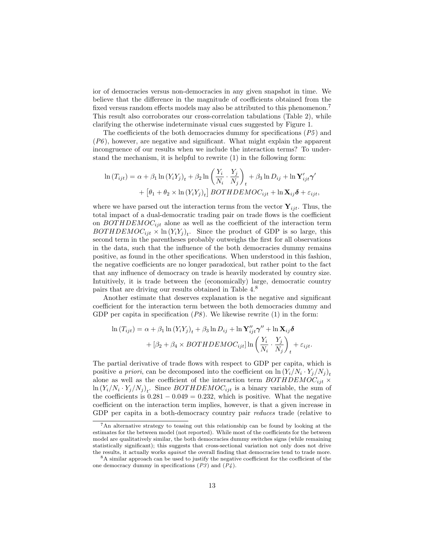ior of democracies versus non-democracies in any given snapshot in time. We believe that the difference in the magnitude of coefficients obtained from the fixed versus random effects models may also be attributed to this phenomenon.<sup>7</sup> This result also corroborates our cross-correlation tabulations (Table 2), while clarifying the otherwise indeterminate visual cues suggested by Figure 1.

The coefficients of the both democracies dummy for specifications  $(P5)$  and  $(P6)$ , however, are negative and significant. What might explain the apparent incongruence of our results when we include the interaction terms? To understand the mechanism, it is helpful to rewrite (1) in the following form:

$$
\ln(T_{ijt}) = \alpha + \beta_1 \ln(Y_i Y_j)_t + \beta_2 \ln\left(\frac{Y_i}{N_i} \cdot \frac{Y_j}{N_j}\right)_t + \beta_3 \ln D_{ij} + \ln \mathbf{Y}'_{ijt} \gamma'
$$

$$
+ \left[\theta_1 + \theta_2 \times \ln(Y_i Y_j)_t\right] BOTHDEMOC_{ijt} + \ln \mathbf{X}_{ij} \delta + \varepsilon_{ijt},
$$

where we have parsed out the interaction terms from the vector  $\mathbf{Y}_{ijt}$ . Thus, the total impact of a dual-democratic trading pair on trade flows is the coefficient on  $BOTHDEMOC_{ijt}$  alone as well as the coefficient of the interaction term  $BOTHDEMOC_{ijt} \times \ln(Y_i Y_j)_t$ . Since the product of GDP is so large, this second term in the parentheses probably outweighs the first for all observations in the data, such that the influence of the both democracies dummy remains positive, as found in the other specifications. When understood in this fashion, the negative coefficients are no longer paradoxical, but rather point to the fact that any influence of democracy on trade is heavily moderated by country size. Intuitively, it is trade between the (economically) large, democratic country pairs that are driving our results obtained in Table 4.<sup>8</sup>

Another estimate that deserves explanation is the negative and significant coefficient for the interaction term between the both democracies dummy and GDP per capita in specification  $(P8)$ . We likewise rewrite (1) in the form:

$$
\ln (T_{ijt}) = \alpha + \beta_1 \ln (Y_i Y_j)_t + \beta_3 \ln D_{ij} + \ln \mathbf{Y}_{ijt}'' \gamma'' + \ln \mathbf{X}_{ij} \delta
$$

$$
+ [\beta_2 + \beta_4 \times BOTHDEMOC_{ijt}] \ln \left( \frac{Y_i}{N_i} \cdot \frac{Y_j}{N_j} \right)_t + \varepsilon_{ijt}.
$$

The partial derivative of trade flows with respect to GDP per capita, which is positive *a priori*, can be decomposed into the coefficient on  $\ln(Y_i/N_i \cdot Y_j/N_j)_t$ alone as well as the coefficient of the interaction term  $BOTHDEMOC_{ijt}$  ×  $\ln(Y_i/N_i \cdot Y_j/N_j)_t$ . Since  $BOTHDEMOC_{ijt}$  is a binary variable, the sum of the coefficients is  $0.281 - 0.049 = 0.232$ , which is positive. What the negative coefficient on the interaction term implies, however, is that a given increase in GDP per capita in a both-democracy country pair *reduces* trade (relative to

<sup>7</sup>An alternative strategy to teasing out this relationship can be found by looking at the estimates for the between model (not reported). While most of the coefficients for the between model are qualitatively similar, the both democracies dummy switches signs (while remaining statistically significant); this suggests that cross-sectional variation not only does not drive the results, it actually works against the overall finding that democracies tend to trade more.

 $8A$  similar approach can be used to justify the negative coefficient for the coefficient of the one democracy dummy in specifications  $(P3)$  and  $(P4)$ .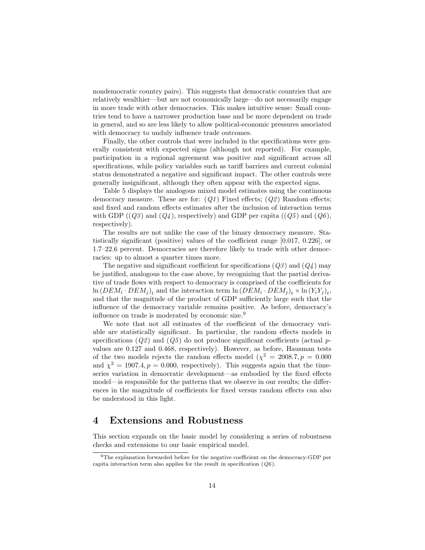nondemocratic country pairs). This suggests that democratic countries that are relatively wealthier—but are not economically large—do not necessarily engage in more trade with other democracies. This makes intuitive sense: Small countries tend to have a narrower production base and be more dependent on trade in general, and so are less likely to allow political-economic pressures associated with democracy to unduly influence trade outcomes.

Finally, the other controls that were included in the specifications were generally consistent with expected signs (although not reported). For example, participation in a regional agreement was positive and significant across all specifications, while policy variables such as tariff barriers and current colonial status demonstrated a negative and significant impact. The other controls were generally insignificant, although they often appear with the expected signs.

Table 5 displays the analogous mixed model estimates using the continuous democracy measure. These are for:  $(Q1)$  Fixed effects;  $(Q2)$  Random effects; and fixed and random effects estimates after the inclusion of interaction terms with GDP  $((Q3)$  and  $(Q4)$ , respectively) and GDP per capita  $((Q5)$  and  $(Q6)$ , respectively).

The results are not unlike the case of the binary democracy measure. Statistically significant (positive) values of the coefficient range [0.017, 0.226], or 1.7–22.6 percent. Democracies are therefore likely to trade with other democracies: up to almost a quarter times more.

The negative and significant coefficient for specifications  $(Q3)$  and  $(Q4)$  may be justified, analogous to the case above, by recognizing that the partial derivative of trade flows with respect to democracy is comprised of the coefficients for  $\ln (DEM_i \cdot DEM_j)_t$  and the interaction term  $\ln (DEM_i \cdot DEM_j)_t \times \ln (Y_iY_j)_t$ , and that the magnitude of the product of GDP sufficiently large such that the influence of the democracy variable remains positive. As before, democracy's influence on trade is moderated by economic size.<sup>9</sup>

We note that not all estimates of the coefficient of the democracy variable are statistically significant. In particular, the random effects models in specifications  $(Q2)$  and  $(Q5)$  do not produce significant coefficients (actual pvalues are 0.127 and 0.468, respectively). However, as before, Hausman tests of the two models rejects the random effects model ( $\chi^2 = 2008.7, p = 0.000$ and  $\chi^2 = 1907.4, p = 0.000$ , respectively). This suggests again that the timeseries variation in democratic development—as embodied by the fixed effects model—is responsible for the patterns that we observe in our results; the differences in the magnitude of coefficients for fixed versus random effects can also be understood in this light.

#### 4 Extensions and Robustness

This section expands on the basic model by considering a series of robustness checks and extensions to our basic empirical model.

<sup>&</sup>lt;sup>9</sup>The explanation forwarded before for the negative coefficient on the democracy-GDP per capita interaction term also applies for the result in specification  $(Q6)$ .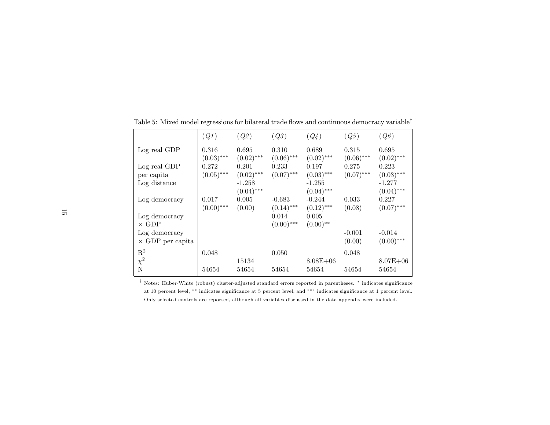|                         | $\left(Q1\right)$ | (Q2)         | (Q3)         | (Q4)         | (Q5)         | (Q6)         |
|-------------------------|-------------------|--------------|--------------|--------------|--------------|--------------|
| Log real GDP            | 0.316             | 0.695        | 0.310        | 0.689        | 0.315        | 0.695        |
|                         | $(0.03)$ ***      | $(0.02)$ *** | $(0.06)$ *** | $(0.02)$ *** | $(0.06)$ *** | $(0.02)$ *** |
| Log real GDP            | 0.272             | 0.201        | 0.233        | 0.197        | 0.275        | 0.223        |
| per capita              | $(0.05)$ ***      | $(0.02)$ *** | $(0.07)$ *** | $(0.03)$ *** | $(0.07)$ *** | $(0.03)$ *** |
| Log distance            |                   | $-1.258$     |              | $-1.255$     |              | $-1.277$     |
|                         |                   | $(0.04)$ *** |              | $(0.04)$ *** |              | $(0.04)$ *** |
| Log democracy           | 0.017             | 0.005        | $-0.683$     | $-0.244$     | 0.033        | 0.227        |
|                         | $(0.00)$ ***      | (0.00)       | $(0.14)$ *** | $(0.12)$ *** | (0.08)       | $(0.07)$ *** |
| Log democracy           |                   |              | 0.014        | 0.005        |              |              |
| $\times$ GDP            |                   |              | $(0.00)$ *** | $(0.00)$ **  |              |              |
| Log democracy           |                   |              |              |              | $-0.001$     | $-0.014$     |
| $\times$ GDP per capita |                   |              |              |              | (0.00)       | $(0.00)$ *** |
| $\mathbf{R}^2$          | 0.048             |              | 0.050        |              | 0.048        |              |
| $\chi^2$ N              |                   | 15134        |              | $8.08E + 06$ |              | $8.07E + 06$ |
|                         | 54654             | 54654        | 54654        | 54654        | 54654        | 54654        |

Table 5: Mixed model regressions for bilateral trade flows and continuous democracy variable<sup>†</sup>

† Notes: Huber-White (robust) cluster-adjusted standard errors reported in parentheses. ∗ indicates significance at <sup>10</sup> percent level, ∗∗ indicates significance at <sup>5</sup> percent level, and ∗∗∗ indicates significance at <sup>1</sup> percent level. Only selected controls are reported, although all variables discussed in the data appendix were included.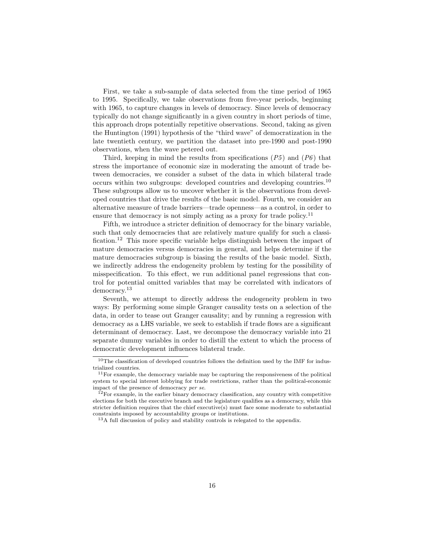First, we take a sub-sample of data selected from the time period of 1965 to 1995. Specifically, we take observations from five-year periods, beginning with 1965, to capture changes in levels of democracy. Since levels of democracy typically do not change significantly in a given country in short periods of time, this approach drops potentially repetitive observations. Second, taking as given the Huntington (1991) hypothesis of the "third wave" of democratization in the late twentieth century, we partition the dataset into pre-1990 and post-1990 observations, when the wave petered out.

Third, keeping in mind the results from specifications  $(P5)$  and  $(P6)$  that stress the importance of economic size in moderating the amount of trade between democracies, we consider a subset of the data in which bilateral trade occurs within two subgroups: developed countries and developing countries.<sup>10</sup> These subgroups allow us to uncover whether it is the observations from developed countries that drive the results of the basic model. Fourth, we consider an alternative measure of trade barriers—trade openness—as a control, in order to ensure that democracy is not simply acting as a proxy for trade policy.<sup>11</sup>

Fifth, we introduce a stricter definition of democracy for the binary variable, such that only democracies that are relatively mature qualify for such a classification.<sup>12</sup> This more specific variable helps distinguish between the impact of mature democracies versus democracies in general, and helps determine if the mature democracies subgroup is biasing the results of the basic model. Sixth, we indirectly address the endogeneity problem by testing for the possibility of misspecification. To this effect, we run additional panel regressions that control for potential omitted variables that may be correlated with indicators of democracy.<sup>13</sup>

Seventh, we attempt to directly address the endogeneity problem in two ways: By performing some simple Granger causality tests on a selection of the data, in order to tease out Granger causality; and by running a regression with democracy as a LHS variable, we seek to establish if trade flows are a significant determinant of democracy. Last, we decompose the democracy variable into 21 separate dummy variables in order to distill the extent to which the process of democratic development influences bilateral trade.

<sup>&</sup>lt;sup>10</sup>The classification of developed countries follows the definition used by the IMF for industrialized countries.

 $11$  For example, the democracy variable may be capturing the responsiveness of the political system to special interest lobbying for trade restrictions, rather than the political-economic impact of the presence of democracy per se.

 $12$ For example, in the earlier binary democracy classification, any country with competitive elections for both the executive branch and the legislature qualifies as a democracy, while this stricter definition requires that the chief executive(s) must face some moderate to substantial constraints imposed by accountability groups or institutions.

<sup>13</sup>A full discussion of policy and stability controls is relegated to the appendix.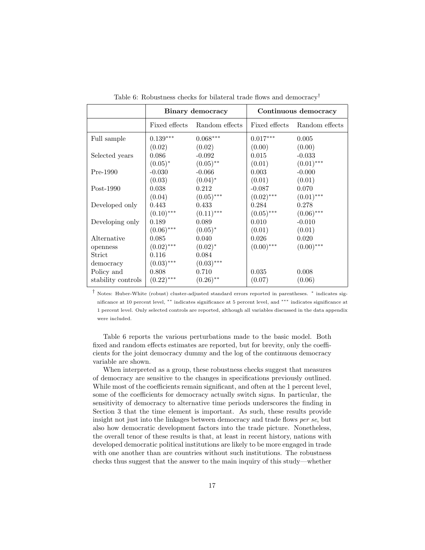|                    |                 | Binary democracy             | Continuous democracy |                |  |
|--------------------|-----------------|------------------------------|----------------------|----------------|--|
|                    |                 | Fixed effects Random effects | Fixed effects        | Random effects |  |
| Full sample        | $0.139^{***}\,$ | $0.068^{\ast\ast\ast}$       | $0.017***$           | 0.005          |  |
|                    | (0.02)          | (0.02)                       | (0.00)               | (0.00)         |  |
| Selected years     | 0.086           | $-0.092$                     | 0.015                | $-0.033$       |  |
|                    | $(0.05)^*$      | $(0.05)$ **                  | (0.01)               | $(0.01)$ ***   |  |
| $Pre-1990$         | $-0.030$        | $-0.066$                     | 0.003                | $-0.000$       |  |
|                    | (0.03)          | $(0.04)^*$                   | (0.01)               | (0.01)         |  |
| $Post-1990$        | 0.038           | 0.212                        | $-0.087$             | 0.070          |  |
|                    | (0.04)          | $(0.05)$ ***                 | $(0.02)$ ***         | $(0.01)$ ***   |  |
| Developed only     | 0.443           | 0.433                        | 0.284                | 0.278          |  |
|                    | $(0.10)$ ***    | $(0.11)$ ***                 | $(0.05)$ ***         | $(0.06)$ ***   |  |
| Developing only    | 0.189           | 0.089                        | 0.010                | $-0.010$       |  |
|                    | $(0.06)$ ***    | $(0.05)^*$                   | (0.01)               | (0.01)         |  |
| Alternative        | 0.085           | 0.040                        | 0.026                | 0.020          |  |
| openness           | $(0.02)$ ***    | $(0.02)^{*}$                 | $(0.00)$ ***         | $(0.00)$ ***   |  |
| Strict             | 0.116           | 0.084                        |                      |                |  |
| democracy          | $(0.03)$ ***    | $(0.03)$ ***                 |                      |                |  |
| Policy and         | 0.808           | 0.710                        | 0.035                | 0.008          |  |
| stability controls | $(0.22)$ ***    | $(0.26)$ **                  | (0.07)               | (0.06)         |  |

Table 6: Robustness checks for bilateral trade flows and democracy†

† Notes: Huber-White (robust) cluster-adjusted standard errors reported in parentheses. <sup>∗</sup> indicates significance at 10 percent level, ∗∗ indicates significance at 5 percent level, and ∗∗∗ indicates significance at 1 percent level. Only selected controls are reported, although all variables discussed in the data appendix were included.

Table 6 reports the various perturbations made to the basic model. Both fixed and random effects estimates are reported, but for brevity, only the coefficients for the joint democracy dummy and the log of the continuous democracy variable are shown.

When interpreted as a group, these robustness checks suggest that measures of democracy are sensitive to the changes in specifications previously outlined. While most of the coefficients remain significant, and often at the 1 percent level, some of the coefficients for democracy actually switch signs. In particular, the sensitivity of democracy to alternative time periods underscores the finding in Section 3 that the time element is important. As such, these results provide insight not just into the linkages between democracy and trade flows per se, but also how democratic development factors into the trade picture. Nonetheless, the overall tenor of these results is that, at least in recent history, nations with developed democratic political institutions are likely to be more engaged in trade with one another than are countries without such institutions. The robustness checks thus suggest that the answer to the main inquiry of this study—whether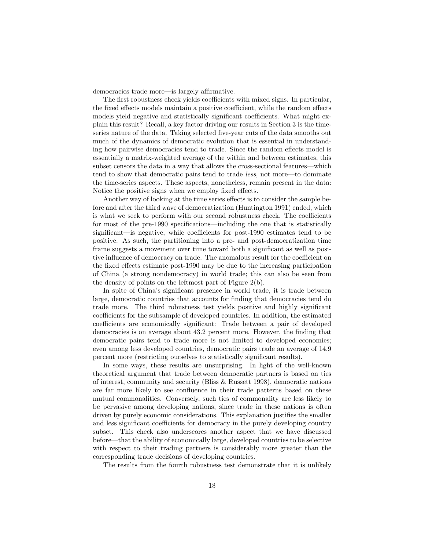democracies trade more—is largely affirmative.

The first robustness check yields coefficients with mixed signs. In particular, the fixed effects models maintain a positive coefficient, while the random effects models yield negative and statistically significant coefficients. What might explain this result? Recall, a key factor driving our results in Section 3 is the timeseries nature of the data. Taking selected five-year cuts of the data smooths out much of the dynamics of democratic evolution that is essential in understanding how pairwise democracies tend to trade. Since the random effects model is essentially a matrix-weighted average of the within and between estimates, this subset censors the data in a way that allows the cross-sectional features—which tend to show that democratic pairs tend to trade less, not more—to dominate the time-series aspects. These aspects, nonetheless, remain present in the data: Notice the positive signs when we employ fixed effects.

Another way of looking at the time series effects is to consider the sample before and after the third wave of democratization (Huntington 1991) ended, which is what we seek to perform with our second robustness check. The coefficients for most of the pre-1990 specifications—including the one that is statistically significant—is negative, while coefficients for post-1990 estimates tend to be positive. As such, the partitioning into a pre- and post-democratization time frame suggests a movement over time toward both a significant as well as positive influence of democracy on trade. The anomalous result for the coefficient on the fixed effects estimate post-1990 may be due to the increasing participation of China (a strong nondemocracy) in world trade; this can also be seen from the density of points on the leftmost part of Figure 2(b).

In spite of China's significant presence in world trade, it is trade between large, democratic countries that accounts for finding that democracies tend do trade more. The third robustness test yields positive and highly significant coefficients for the subsample of developed countries. In addition, the estimated coefficients are economically significant: Trade between a pair of developed democracies is on average about 43.2 percent more. However, the finding that democratic pairs tend to trade more is not limited to developed economies; even among less developed countries, democratic pairs trade an average of 14.9 percent more (restricting ourselves to statistically significant results).

In some ways, these results are unsurprising. In light of the well-known theoretical argument that trade between democratic partners is based on ties of interest, community and security (Bliss & Russett 1998), democratic nations are far more likely to see confluence in their trade patterns based on these mutual commonalities. Conversely, such ties of commonality are less likely to be pervasive among developing nations, since trade in these nations is often driven by purely economic considerations. This explanation justifies the smaller and less significant coefficients for democracy in the purely developing country subset. This check also underscores another aspect that we have discussed before—that the ability of economically large, developed countries to be selective with respect to their trading partners is considerably more greater than the corresponding trade decisions of developing countries.

The results from the fourth robustness test demonstrate that it is unlikely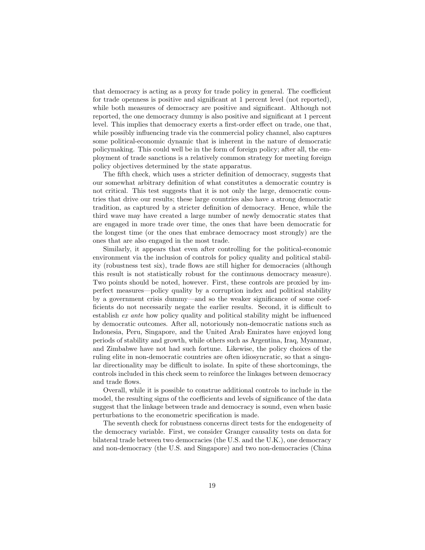that democracy is acting as a proxy for trade policy in general. The coefficient for trade openness is positive and significant at 1 percent level (not reported), while both measures of democracy are positive and significant. Although not reported, the one democracy dummy is also positive and significant at 1 percent level. This implies that democracy exerts a first-order effect on trade, one that, while possibly influencing trade via the commercial policy channel, also captures some political-economic dynamic that is inherent in the nature of democratic policymaking. This could well be in the form of foreign policy; after all, the employment of trade sanctions is a relatively common strategy for meeting foreign policy objectives determined by the state apparatus.

The fifth check, which uses a stricter definition of democracy, suggests that our somewhat arbitrary definition of what constitutes a democratic country is not critical. This test suggests that it is not only the large, democratic countries that drive our results; these large countries also have a strong democratic tradition, as captured by a stricter definition of democracy. Hence, while the third wave may have created a large number of newly democratic states that are engaged in more trade over time, the ones that have been democratic for the longest time (or the ones that embrace democracy most strongly) are the ones that are also engaged in the most trade.

Similarly, it appears that even after controlling for the political-economic environment via the inclusion of controls for policy quality and political stability (robustness test six), trade flows are still higher for democracies (although this result is not statistically robust for the continuous democracy measure). Two points should be noted, however. First, these controls are proxied by imperfect measures—policy quality by a corruption index and political stability by a government crisis dummy—and so the weaker significance of some coefficients do not necessarily negate the earlier results. Second, it is difficult to establish ex ante how policy quality and political stability might be influenced by democratic outcomes. After all, notoriously non-democratic nations such as Indonesia, Peru, Singapore, and the United Arab Emirates have enjoyed long periods of stability and growth, while others such as Argentina, Iraq, Myanmar, and Zimbabwe have not had such fortune. Likewise, the policy choices of the ruling elite in non-democratic countries are often idiosyncratic, so that a singular directionality may be difficult to isolate. In spite of these shortcomings, the controls included in this check seem to reinforce the linkages between democracy and trade flows.

Overall, while it is possible to construe additional controls to include in the model, the resulting signs of the coefficients and levels of significance of the data suggest that the linkage between trade and democracy is sound, even when basic perturbations to the econometric specification is made.

The seventh check for robustness concerns direct tests for the endogeneity of the democracy variable. First, we consider Granger causality tests on data for bilateral trade between two democracies (the U.S. and the U.K.), one democracy and non-democracy (the U.S. and Singapore) and two non-democracies (China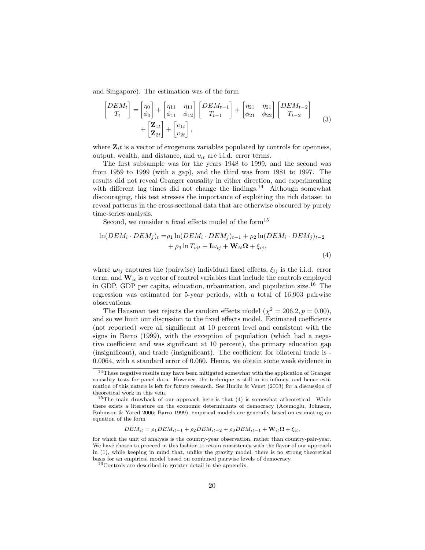and Singapore). The estimation was of the form

$$
\begin{bmatrix}\nDEM_t \\
T_t\n\end{bmatrix} = \begin{bmatrix}\n\eta_0 \\
\phi_0\n\end{bmatrix} + \begin{bmatrix}\n\eta_{11} & \eta_{11} \\
\phi_{11} & \phi_{12}\n\end{bmatrix} \begin{bmatrix}\nDEM_{t-1} \\
T_{t-1}\n\end{bmatrix} + \begin{bmatrix}\n\eta_{21} & \eta_{21} \\
\phi_{21} & \phi_{22}\n\end{bmatrix} \begin{bmatrix}\nDEM_{t-2} \\
T_{t-2}\n\end{bmatrix} + \begin{bmatrix}\n\mathbf{Z}_{1t} \\
\mathbf{Z}_{2t}\n\end{bmatrix} + \begin{bmatrix}\nv_{1t} \\
v_{2t}\n\end{bmatrix},
$$
\n(3)

where  $\mathbf{Z}_i t$  is a vector of exogenous variables populated by controls for openness, output, wealth, and distance, and  $v_{it}$  are i.i.d. error terms.

The first subsample was for the years 1948 to 1999, and the second was from 1959 to 1999 (with a gap), and the third was from 1981 to 1997. The results did not reveal Granger causality in either direction, and experimenting with different lag times did not change the findings. $14$  Although somewhat discouraging, this test stresses the importance of exploiting the rich dataset to reveal patterns in the cross-sectional data that are otherwise obscured by purely time-series analysis.

Second, we consider a fixed effects model of the form<sup>15</sup>

$$
\ln(DEM_i \cdot DEM_j)_t = \rho_1 \ln(DEM_i \cdot DEM_j)_{t-1} + \rho_2 \ln(DEM_i \cdot DEM_j)_{t-2} + \rho_3 \ln T_{ijt} + \mathbf{I}\omega_{ij} + \mathbf{W}_{it}\Omega + \xi_{ij},
$$
\n(4)

where  $\omega_{ij}$  captures the (pairwise) individual fixed effects,  $\xi_{ij}$  is the i.i.d. error term, and  $W_{it}$  is a vector of control variables that include the controls employed in GDP, GDP per capita, education, urbanization, and population size.<sup>16</sup> The regression was estimated for 5-year periods, with a total of 16,903 pairwise observations.

The Hausman test rejects the random effects model  $(\chi^2 = 206.2, p = 0.00)$ , and so we limit our discussion to the fixed effects model. Estimated coefficients (not reported) were all significant at 10 percent level and consistent with the signs in Barro (1999), with the exception of population (which had a negative coefficient and was significant at 10 percent), the primary education gap (insignificant), and trade (insignificant). The coefficient for bilateral trade is - 0.0064, with a standard error of 0.060. Hence, we obtain some weak evidence in

 $DEM_{it} = \rho_1 DEM_{it-1} + \rho_2 DEM_{it-2} + \rho_3 DEM_{it-1} + \mathbf{W}_{it} \mathbf{\Omega} + \xi_{it},$ 

<sup>&</sup>lt;sup>14</sup>These negative results may have been mitigated somewhat with the application of Granger causality tests for panel data. However, the technique is still in its infancy, and hence estimation of this nature is left for future research. See Hurlin & Venet (2003) for a discussion of theoretical work in this vein.

<sup>&</sup>lt;sup>15</sup>The main drawback of our approach here is that  $(4)$  is somewhat atheoretical. While there exists a literature on the economic determinants of democracy (Acemoglu, Johnson, Robinson & Yared 2006; Barro 1999), empirical models are generally based on estimating an equation of the form

for which the unit of analysis is the country-year observation, rather than country-pair-year. We have chosen to proceed in this fashion to retain consistency with the flavor of our approach in (1), while keeping in mind that, unlike the gravity model, there is no strong theoretical basis for an empirical model based on combined pairwise levels of democracy.

 $^{16}\mathrm{Controls}$  are described in greater detail in the appendix.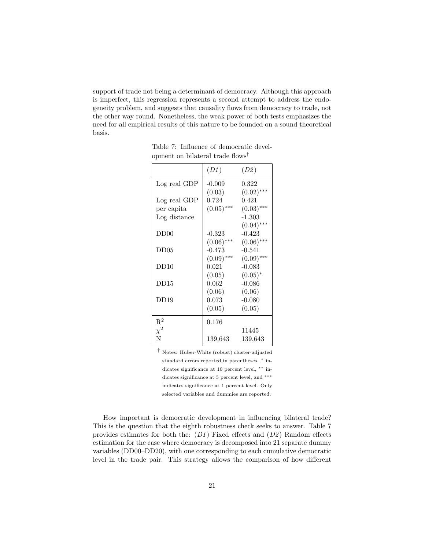support of trade not being a determinant of democracy. Although this approach is imperfect, this regression represents a second attempt to address the endogeneity problem, and suggests that causality flows from democracy to trade, not the other way round. Nonetheless, the weak power of both tests emphasizes the need for all empirical results of this nature to be founded on a sound theoretical basis.

|                  | (D1)         | (D2)         |
|------------------|--------------|--------------|
| Log real GDP     | $-0.009$     | 0.322        |
|                  | (0.03)       | $(0.02)$ *** |
| Log real GDP     | 0.724        | 0.421        |
| per capita       | $(0.05)$ *** | $(0.03)$ *** |
| Log distance     |              | $-1.303$     |
|                  |              | $(0.04)$ *** |
| DD <sub>00</sub> | $-0.323$     | $-0.423$     |
|                  | $(0.06)$ *** | $(0.06)$ *** |
| DD05             | $-0.473$     | $-0.541$     |
|                  | $(0.09)$ *** | $(0.09)$ *** |
| DD10             | 0.021        | $-0.083$     |
|                  | (0.05)       | $(0.05)^*$   |
| DD15             | 0.062        | $-0.086$     |
|                  | (0.06)       | (0.06)       |
| DD19             | 0.073        | $-0.080$     |
|                  | (0.05)       | (0.05)       |
| $\mathrm{R}^2$   | 0.176        |              |
| $\chi^2$         |              | 11445        |
| N                | 139,643      | 139,643      |

Table 7: Influence of democratic development on bilateral trade flows†

† Notes: Huber-White (robust) cluster-adjusted standard errors reported in parentheses. <sup>\*</sup> indicates significance at 10 percent level, ∗∗ indicates significance at 5 percent level, and  $***$ indicates significance at 1 percent level. Only selected variables and dummies are reported.

How important is democratic development in influencing bilateral trade? This is the question that the eighth robustness check seeks to answer. Table 7 provides estimates for both the:  $(D1)$  Fixed effects and  $(D2)$  Random effects estimation for the case where democracy is decomposed into 21 separate dummy variables (DD00–DD20), with one corresponding to each cumulative democratic level in the trade pair. This strategy allows the comparison of how different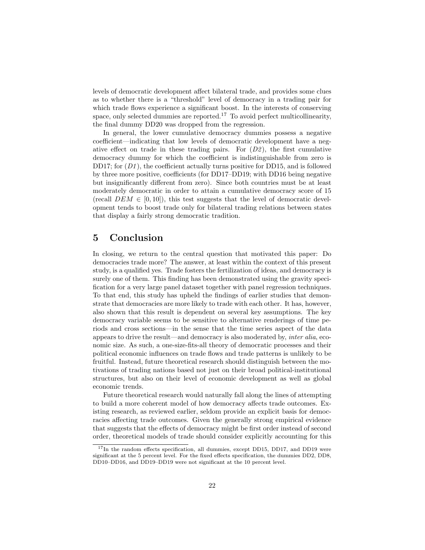levels of democratic development affect bilateral trade, and provides some clues as to whether there is a "threshold" level of democracy in a trading pair for which trade flows experience a significant boost. In the interests of conserving space, only selected dummies are reported.<sup>17</sup> To avoid perfect multicollinearity, the final dummy DD20 was dropped from the regression.

In general, the lower cumulative democracy dummies possess a negative coefficient—indicating that low levels of democratic development have a negative effect on trade in these trading pairs. For  $(D2)$ , the first cumulative democracy dummy for which the coefficient is indistinguishable from zero is DD17; for  $(D1)$ , the coefficient actually turns positive for DD15, and is followed by three more positive, coefficients (for DD17–DD19; with DD16 being negative but insignificantly different from zero). Since both countries must be at least moderately democratic in order to attain a cumulative democracy score of 15 (recall  $DEM \in [0, 10]$ ), this test suggests that the level of democratic development tends to boost trade only for bilateral trading relations between states that display a fairly strong democratic tradition.

#### 5 Conclusion

In closing, we return to the central question that motivated this paper: Do democracies trade more? The answer, at least within the context of this present study, is a qualified yes. Trade fosters the fertilization of ideas, and democracy is surely one of them. This finding has been demonstrated using the gravity specification for a very large panel dataset together with panel regression techniques. To that end, this study has upheld the findings of earlier studies that demonstrate that democracies are more likely to trade with each other. It has, however, also shown that this result is dependent on several key assumptions. The key democracy variable seems to be sensitive to alternative renderings of time periods and cross sections—in the sense that the time series aspect of the data appears to drive the result—and democracy is also moderated by, inter alia, economic size. As such, a one-size-fits-all theory of democratic processes and their political economic influences on trade flows and trade patterns is unlikely to be fruitful. Instead, future theoretical research should distinguish between the motivations of trading nations based not just on their broad political-institutional structures, but also on their level of economic development as well as global economic trends.

Future theoretical research would naturally fall along the lines of attempting to build a more coherent model of how democracy affects trade outcomes. Existing research, as reviewed earlier, seldom provide an explicit basis for democracies affecting trade outcomes. Given the generally strong empirical evidence that suggests that the effects of democracy might be first order instead of second order, theoretical models of trade should consider explicitly accounting for this

<sup>&</sup>lt;sup>17</sup>In the random effects specification, all dummies, except DD15, DD17, and DD19 were significant at the 5 percent level. For the fixed effects specification, the dummies DD2, DD8, DD10–DD16, and DD19–DD19 were not significant at the 10 percent level.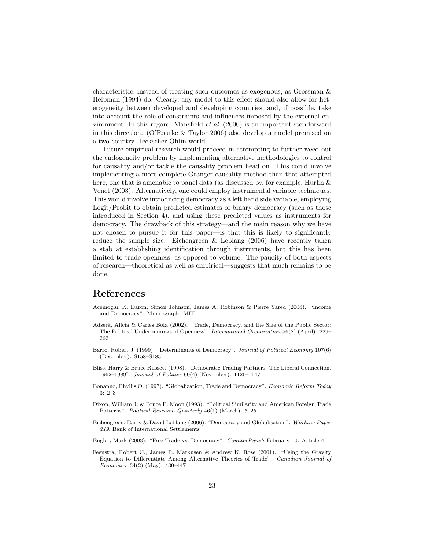characteristic, instead of treating such outcomes as exogenous, as Grossman & Helpman (1994) do. Clearly, any model to this effect should also allow for heterogeneity between developed and developing countries, and, if possible, take into account the role of constraints and influences imposed by the external environment. In this regard, Mansfield et al. (2000) is an important step forward in this direction. (O'Rourke & Taylor 2006) also develop a model premised on a two-country Heckscher-Ohlin world.

Future empirical research would proceed in attempting to further weed out the endogeneity problem by implementing alternative methodologies to control for causality and/or tackle the causality problem head on. This could involve implementing a more complete Granger causality method than that attempted here, one that is amenable to panel data (as discussed by, for example, Hurlin & Venet (2003). Alternatively, one could employ instrumental variable techniques. This would involve introducing democracy as a left hand side variable, employing Logit/Probit to obtain predicted estimates of binary democracy (such as those introduced in Section 4), and using these predicted values as instruments for democracy. The drawback of this strategy—and the main reason why we have not chosen to pursue it for this paper—is that this is likely to significantly reduce the sample size. Eichengreen & Leblang (2006) have recently taken a stab at establishing identification through instruments, but this has been limited to trade openness, as opposed to volume. The paucity of both aspects of research—theoretical as well as empirical—suggests that much remains to be done.

#### References

- Acemoglu, K. Daron, Simon Johnson, James A. Robinson & Pierre Yared (2006). "Income and Democracy". Mimeograph: MIT
- Adserà, Alícia & Carles Boix (2002). "Trade, Democracy, and the Size of the Public Sector: The Political Underpinnings of Openness". International Organization 56(2) (April): 229– 262
- Barro, Robert J. (1999). "Determinants of Democracy". Journal of Political Economy 107(6) (December): S158–S183
- Bliss, Harry & Bruce Russett (1998). "Democratic Trading Partners: The Liberal Connection, 1962–1989". Journal of Politics 60(4) (November): 1126–1147
- Bonanno, Phyllis O. (1997). "Globalization, Trade and Democracy". Economic Reform Today 3: 2–3
- Dixon, William J. & Bruce E. Moon (1993). "Political Similarity and American Foreign Trade Patterns". Political Research Quarterly 46(1) (March): 5–25
- Eichengreen, Barry & David Leblang (2006). "Democracy and Globalisation". Working Paper 219, Bank of International Settlements
- Engler, Mark (2003). "Free Trade vs. Democracy". CounterPunch February 10: Article 4
- Feenstra, Robert C., James R. Markusen & Andrew K. Rose (2001). "Using the Gravity Equation to Differentiate Among Alternative Theories of Trade". Canadian Journal of Economics 34(2) (May): 430–447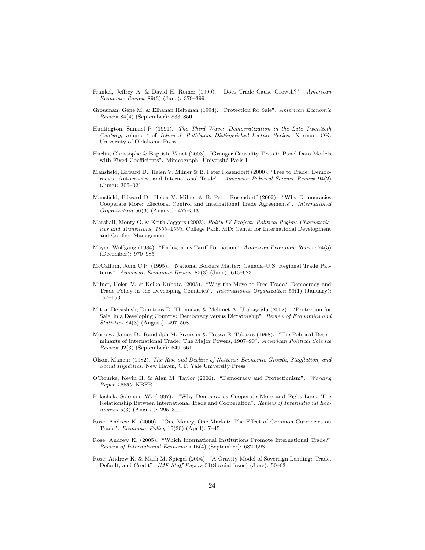- Frankel, Jeffrey A. & David H. Romer (1999). "Does Trade Cause Growth?" American Economic Review 89(3) (June): 379–399
- Grossman, Gene M. & Elhanan Helpman (1994). "Protection for Sale". American Economic Review 84(4) (September): 833–850
- Huntington, Samuel P. (1991). The Third Wave: Democratization in the Late Twentieth Century, volume 4 of Julian J. Rothbaum Distinguished Lecture Series. Norman, OK: University of Oklahoma Press
- Hurlin, Christophe & Baptiste Venet (2003). "Granger Causality Tests in Panel Data Models with Fixed Coefficients". Mimeograph: Université Paris I
- Mansfield, Edward D., Helen V. Milner & B. Peter Rosendorff (2000). "Free to Trade: Democracies, Autocracies, and International Trade". American Political Science Review 94(2) (June): 305–321
- Mansfield, Edward D., Helen V. Milner & B. Peter Rosendorff (2002). "Why Democracies Cooperate More: Electoral Control and International Trade Agreements". International Organization 56(3) (August): 477–513
- Marshall, Monty G. & Keith Jaggers (2003). Polity IV Project: Political Regime Characteristics and Transitions, 1800–2003. College Park, MD: Center for International Development and Conflict Management
- Mayer, Wolfgang (1984). "Endogenous Tariff Formation". American Economic Review 74(5) (December): 970–985
- McCallum, John C.P. (1995). "National Borders Matter: Canada–U.S. Regional Trade Patterns". American Economic Review 85(3) (June): 615–623
- Milner, Helen V. & Keiko Kubota (2005). "Why the Move to Free Trade? Democracy and Trade Policy in the Developing Countries". International Organization 59(1) (January): 157–193
- Mitra, Devashish, Dimitrios D. Thomakos & Mehmet A. Ulubaşoğlu (2002). "'Protection for Sale' in a Developing Country: Democracy versus Dictatorship". Review of Economics and Statistics 84(3) (August): 497–508
- Morrow, James D., Randolph M. Siverson & Tressa E. Tabares (1998). "The Political Determinants of International Trade: The Major Powers, 1907–90". American Political Science Review 92(3) (September): 649–661
- Olson, Mancur (1982). The Rise and Decline of Nations: Economic Growth, Stagflation, and Social Rigidities. New Haven, CT: Yale University Press
- O'Rourke, Kevin H. & Alan M. Taylor (2006). "Democracy and Protectionism". Working Paper 12250, NBER
- Polachek, Solomon W. (1997). "Why Democracies Cooperate More and Fight Less: The Relationship Between International Trade and Cooperation". Review of International Economics 5(3) (August): 295–309
- Rose, Andrew K. (2000). "One Money, One Market: The Effect of Common Currencies on Trade". Economic Policy 15(30) (April): 7–45
- Rose, Andrew K. (2005). "Which International Institutions Promote International Trade?" Review of International Economics 15(4) (September): 682–698
- Rose, Andrew K. & Mark M. Spiegel (2004). "A Gravity Model of Sovereign Lending: Trade, Default, and Credit". IMF Staff Papers 51(Special Issue) (June): 50–63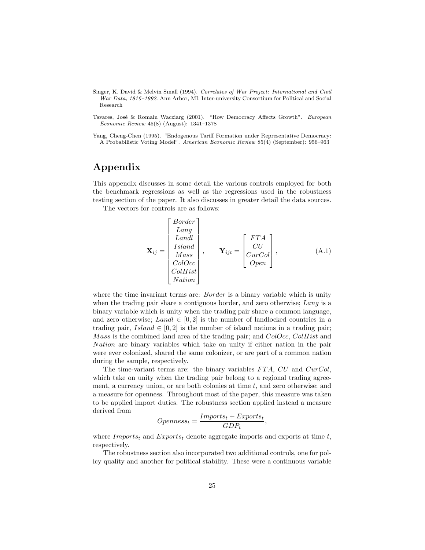- Singer, K. David & Melvin Small (1994). Correlates of War Project: International and Civil War Data, 1816–1992. Ann Arbor, MI: Inter-university Consortium for Political and Social Research
- Tavares, José & Romain Wacziarg (2001). "How Democracy Affects Growth". European Economic Review 45(8) (August): 1341–1378
- Yang, Cheng-Chen (1995). "Endogenous Tariff Formation under Representative Democracy: A Probabilistic Voting Model". American Economic Review 85(4) (September): 956–963

### Appendix

This appendix discusses in some detail the various controls employed for both the benchmark regressions as well as the regressions used in the robustness testing section of the paper. It also discusses in greater detail the data sources.

The vectors for controls are as follows:

 $F_{\mathcal{D}}$ 

$$
\mathbf{X}_{ij} = \begin{bmatrix} Border \\ Lang \\ Land \\ Island \\ Mass \\ ColOcc \\ ColHist \\ Nation \end{bmatrix}, \qquad \mathbf{Y}_{ijt} = \begin{bmatrix} FTA \\ CU \\ CourCol \\ Open \end{bmatrix}, \qquad (A.1)
$$

where the time invariant terms are: *Border* is a binary variable which is unity when the trading pair share a contiguous border, and zero otherwise; Lang is a binary variable which is unity when the trading pair share a common language, and zero otherwise; Landl  $\in [0,2]$  is the number of landlocked countries in a trading pair,  $Island \in [0, 2]$  is the number of island nations in a trading pair; Mass is the combined land area of the trading pair; and ColOcc, ColHist and Nation are binary variables which take on unity if either nation in the pair were ever colonized, shared the same colonizer, or are part of a common nation during the sample, respectively.

The time-variant terms are: the binary variables  $FTA$ ,  $CU$  and  $CurCol$ , which take on unity when the trading pair belong to a regional trading agreement, a currency union, or are both colonies at time  $t$ , and zero otherwise; and a measure for openness. Throughout most of the paper, this measure was taken to be applied import duties. The robustness section applied instead a measure derived from

$$
Openness_t = \frac{Imports_t + Exports_t}{GDP_t},
$$

where  $Imports_t$  and  $Exports_t$  denote aggregate imports and exports at time t, respectively.

The robustness section also incorporated two additional controls, one for policy quality and another for political stability. These were a continuous variable